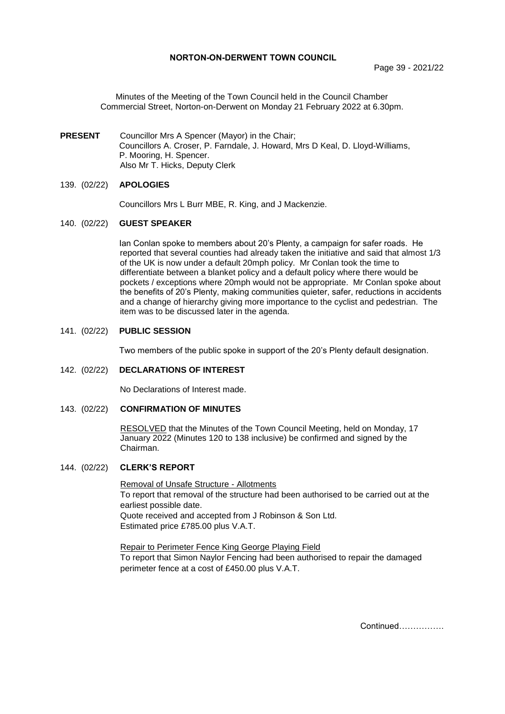## **NORTON-ON-DERWENT TOWN COUNCIL**

Page 39 - 2021/22

Minutes of the Meeting of the Town Council held in the Council Chamber Commercial Street, Norton-on-Derwent on Monday 21 February 2022 at 6.30pm.

**PRESENT** Councillor Mrs A Spencer (Mayor) in the Chair; Councillors A. Croser, P. Farndale, J. Howard, Mrs D Keal, D. Lloyd-Williams, P. Mooring, H. Spencer. Also Mr T. Hicks, Deputy Clerk

# 139. (02/22) **APOLOGIES**

Councillors Mrs L Burr MBE, R. King, and J Mackenzie.

## 140. (02/22) **GUEST SPEAKER**

Ian Conlan spoke to members about 20's Plenty, a campaign for safer roads. He reported that several counties had already taken the initiative and said that almost 1/3 of the UK is now under a default 20mph policy. Mr Conlan took the time to differentiate between a blanket policy and a default policy where there would be pockets / exceptions where 20mph would not be appropriate. Mr Conlan spoke about the benefits of 20's Plenty, making communities quieter, safer, reductions in accidents and a change of hierarchy giving more importance to the cyclist and pedestrian. The item was to be discussed later in the agenda.

#### 141. (02/22) **PUBLIC SESSION**

Two members of the public spoke in support of the 20's Plenty default designation.

# 142. (02/22) **DECLARATIONS OF INTEREST**

No Declarations of Interest made.

#### 143. (02/22) **CONFIRMATION OF MINUTES**

 RESOLVED that the Minutes of the Town Council Meeting, held on Monday, 17 January 2022 (Minutes 120 to 138 inclusive) be confirmed and signed by the Chairman.

#### 144. (02/22) **CLERK'S REPORT**

Removal of Unsafe Structure - Allotments To report that removal of the structure had been authorised to be carried out at the earliest possible date.

Quote received and accepted from J Robinson & Son Ltd. Estimated price £785.00 plus V.A.T.

Repair to Perimeter Fence King George Playing Field To report that Simon Naylor Fencing had been authorised to repair the damaged perimeter fence at a cost of £450.00 plus V.A.T.

Continued…………….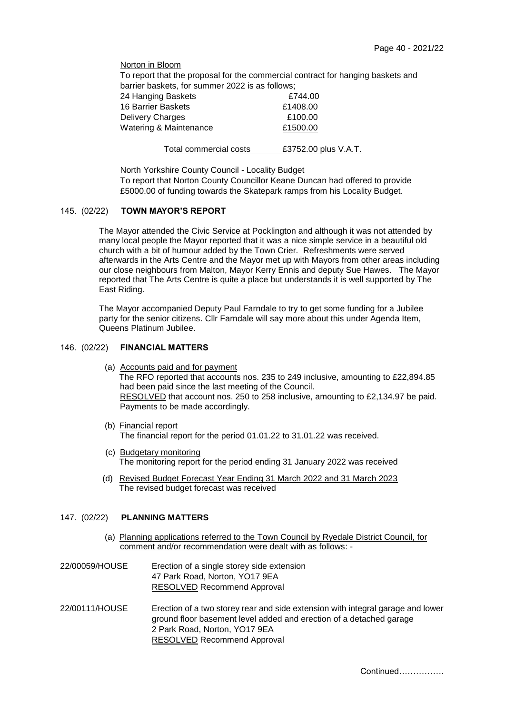Norton in Bloom To report that the proposal for the commercial contract for hanging baskets and barrier baskets, for summer 2022 is as follows; 24 Hanging Baskets **£744.00** 16 Barrier Baskets **E1408.00** Delivery Charges **E100.00** Watering & Maintenance **£1500.00** 

| Total commercial costs | £3752.00 plus V.A.T. |
|------------------------|----------------------|
|------------------------|----------------------|

North Yorkshire County Council - Locality Budget To report that Norton County Councillor Keane Duncan had offered to provide £5000.00 of funding towards the Skatepark ramps from his Locality Budget.

# 145. (02/22) **TOWN MAYOR'S REPORT**

The Mayor attended the Civic Service at Pocklington and although it was not attended by many local people the Mayor reported that it was a nice simple service in a beautiful old church with a bit of humour added by the Town Crier. Refreshments were served afterwards in the Arts Centre and the Mayor met up with Mayors from other areas including our close neighbours from Malton, Mayor Kerry Ennis and deputy Sue Hawes. The Mayor reported that The Arts Centre is quite a place but understands it is well supported by The East Riding.

The Mayor accompanied Deputy Paul Farndale to try to get some funding for a Jubilee party for the senior citizens. Cllr Farndale will say more about this under Agenda Item, Queens Platinum Jubilee.

# 146. (02/22) **FINANCIAL MATTERS**

- (a) Accounts paid and for payment The RFO reported that accounts nos. 235 to 249 inclusive, amounting to £22,894.85 had been paid since the last meeting of the Council. RESOLVED that account nos. 250 to 258 inclusive, amounting to £2,134.97 be paid. Payments to be made accordingly.
- (b) Financial report The financial report for the period 01.01.22 to 31.01.22 was received.
- (c) Budgetary monitoring The monitoring report for the period ending 31 January 2022 was received
- (d) Revised Budget Forecast Year Ending 31 March 2022 and 31 March 2023 The revised budget forecast was received

# 147. (02/22) **PLANNING MATTERS**

- (a) Planning applications referred to the Town Council by Ryedale District Council, for comment and/or recommendation were dealt with as follows: -
- 22/00059/HOUSE Erection of a single storey side extension 47 Park Road, Norton, YO17 9EA RESOLVED Recommend Approval
- 22/00111/HOUSE Erection of a two storey rear and side extension with integral garage and lower ground floor basement level added and erection of a detached garage 2 Park Road, Norton, YO17 9EA RESOLVED Recommend Approval

Continued…………….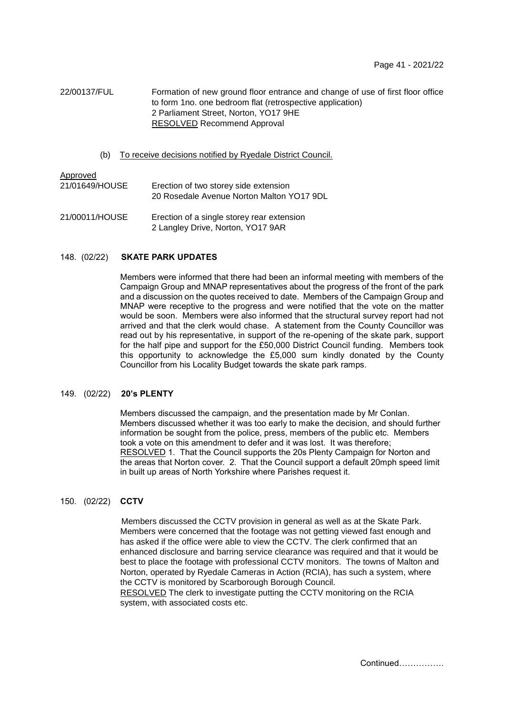22/00137/FUL Formation of new ground floor entrance and change of use of first floor office to form 1no. one bedroom flat (retrospective application) 2 Parliament Street, Norton, YO17 9HE RESOLVED Recommend Approval

(b) To receive decisions notified by Ryedale District Council.

| <u>Approved</u> | Erection of two storey side extension                                           |
|-----------------|---------------------------------------------------------------------------------|
| 21/01649/HOUSE  | 20 Rosedale Avenue Norton Malton YO17 9DL                                       |
| 21/00011/HOUSE  | Erection of a single storey rear extension<br>2 Langley Drive, Norton, YO17 9AR |

#### 148. (02/22) **SKATE PARK UPDATES**

Members were informed that there had been an informal meeting with members of the Campaign Group and MNAP representatives about the progress of the front of the park and a discussion on the quotes received to date. Members of the Campaign Group and MNAP were receptive to the progress and were notified that the vote on the matter would be soon. Members were also informed that the structural survey report had not arrived and that the clerk would chase. A statement from the County Councillor was read out by his representative, in support of the re-opening of the skate park, support for the half pipe and support for the £50,000 District Council funding. Members took this opportunity to acknowledge the £5,000 sum kindly donated by the County Councillor from his Locality Budget towards the skate park ramps.

# 149. (02/22) **20's PLENTY**

Members discussed the campaign, and the presentation made by Mr Conlan. Members discussed whether it was too early to make the decision, and should further information be sought from the police, press, members of the public etc. Members took a vote on this amendment to defer and it was lost. It was therefore; RESOLVED 1. That the Council supports the 20s Plenty Campaign for Norton and the areas that Norton cover. 2. That the Council support a default 20mph speed limit in built up areas of North Yorkshire where Parishes request it.

#### 150. (02/22) **CCTV**

Members discussed the CCTV provision in general as well as at the Skate Park. Members were concerned that the footage was not getting viewed fast enough and has asked if the office were able to view the CCTV. The clerk confirmed that an enhanced disclosure and barring service clearance was required and that it would be best to place the footage with professional CCTV monitors. The towns of Malton and Norton, operated by Ryedale Cameras in Action (RCIA), has such a system, where the CCTV is monitored by Scarborough Borough Council.

RESOLVED The clerk to investigate putting the CCTV monitoring on the RCIA system, with associated costs etc.

Continued…………….